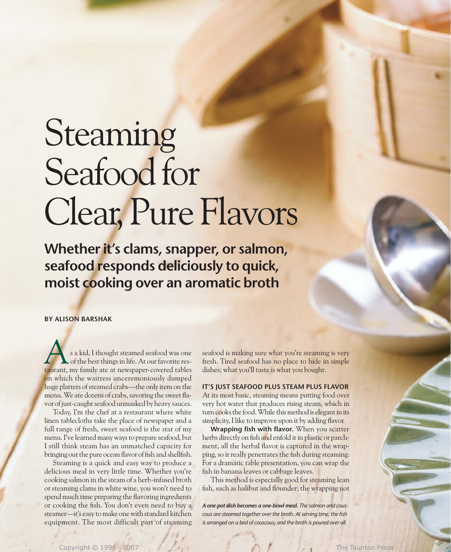# Steaming Seafood for Clear, Pure Flavors

**Whether it's clams, snapper, or salmon, seafood responds deliciously to quick, moist cooking over an aromatic broth**

## **BY ALISON BARSHAK**

s a kid, I thought steamed seafood was one of the best things in life. At our favorite ress a kid, I thought steamed seafood was one<br>of the best things in life. At our favorite res-<br>taurant, my family ate at newspaper-covered tables on which the waitress unceremoniously dumped huge platters of steamed crabs—the only item on the menu. We ate dozens of crabs, savoring the sweet flavor of just-caught seafood unmasked by heavy sauces.

Today, I'm the chef at a restaurant where white linen tablecloths take the place of newspaper and a full range of fresh, sweet seafood is the star of my menu. I've learned many ways to prepare seafood, but I still think steam has an unmatched capacity for bringing out the pure ocean flavor of fish and shellfish.

Steaming is a quick and easy way to produce a delicious meal in very little time. Whether you're cooking salmon in the steam of a herb-infused broth or steaming clams in white wine, you won't need to spend much time preparing the flavoring ingredients or cooking the fish. You don't even need to buy a steamer—it's easy to make one with standard kitchen equipment. The most difficult part of steaming

seafood is making sure what you're steaming is very fresh. Tired seafood has no place to hide in simple dishes; what you'll taste is what you bought.

#### **IT'S JUST SEAFOOD PLUS STEAM PLUS FLAVOR**

At its most basic, steaming means putting food over very hot water that produces rising steam, which in turn cooks the food. While this method is elegant in its simplicity, I like to improve upon it by adding flavor.

**Wrapping fish with flavor.** When you scatter herbs directly on fish and enfold it in plastic or parchment, all the herbal flavor is captured in the wrapping, so it really penetrates the fish during steaming. For a dramatic table presentation, you can wrap the fish in banana leaves or cabbage leaves.

This method is especially good for steaming lean fish, such as halibut and flounder; the wrapping not

*A one-pot dish becomes a one-bowl meal. The salmon and couscous are steamed together over the broth. At serving time, the fish is arranged on a bed of couscous, and the broth is poured over all.*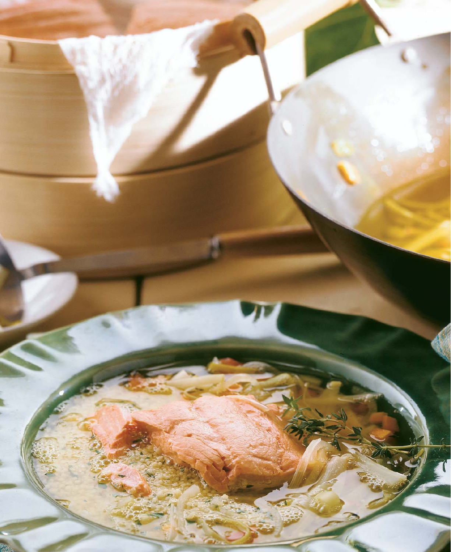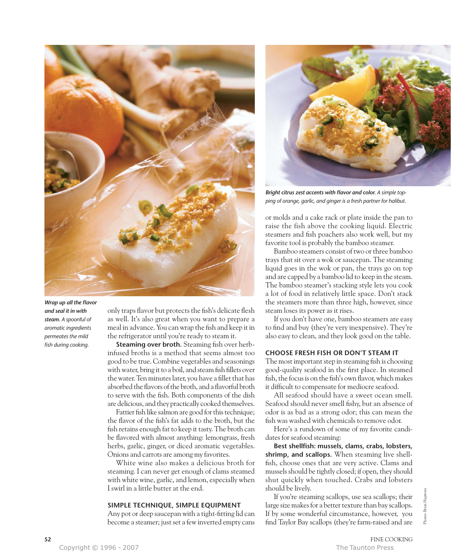

*Wrap up all the flavor and seal it in with steam. A spoonful of aromatic ingredients permeates the mild fish during cooking.*

only traps flavor but protects the fish's delicate flesh as well. It's also great when you want to prepare a meal in advance. You can wrap the fish and keep it in the refrigerator until you're ready to steam it.

**Steaming over broth.** Steaming fish over herbinfused broths is a method that seems almost too good to be true. Combine vegetables and seasonings with water, bring it to a boil, and steam fish fillets over the water. Ten minutes later, you have a fillet that has absorbed the flavors of the broth, and a flavorful broth to serve with the fish. Both components of the dish are delicious, and they practically cooked themselves.

Fattier fish like salmon are good for this technique; the flavor of the fish's fat adds to the broth, but the fish retains enough fat to keep it tasty. The broth can be flavored with almost anything: lemongrass, fresh herbs, garlic, ginger, or diced aromatic vegetables. Onions and carrots are among my favorites.

White wine also makes a delicious broth for steaming. I can never get enough of clams steamed with white wine, garlic, and lemon, especially when I swirl in a little butter at the end.

#### **SIMPLE TECHNIQUE, SIMPLE EQUIPMENT**

Any pot or deep saucepan with a tight-fitting lid can become a steamer; just set a few inverted empty cans



**Bright citrus zest accents with flavor and color.** A simple top*ping of orange, garlic, and ginger is a fresh partner for halibut.*

or molds and a cake rack or plate inside the pan to raise the fish above the cooking liquid. Electric steamers and fish poachers also work well, but my favorite tool is probably the bamboo steamer.

Bamboo steamers consist of two or three bamboo trays that sit over a wok or saucepan. The steaming liquid goes in the wok or pan, the trays go on top and are capped by a bamboo lid to keep in the steam. The bamboo steamer's stacking style lets you cook a lot of food in relatively little space. Don't stack the steamers more than three high, however, since steam loses its power as it rises.

If you don't have one, bamboo steamers are easy to find and buy (they're very inexpensive). They're also easy to clean, and they look good on the table.

#### **CHOOSE FRESH FISH OR DON'T STEAM IT**

The most important step in steaming fish is choosing good-quality seafood in the first place. In steamed fish, the focus is on the fish's own flavor, which makes it difficult to compensate for mediocre seafood.

All seafood should have a sweet ocean smell. Seafood should never smell fishy, but an absence of odor is as bad as a strong odor; this can mean the fish was washed with chemicals to remove odor.

Here's a rundown of some of my favorite candidates for seafood steaming:

**Best shellfish: mussels, clams, crabs, lobsters, shrimp, and scallops.** When steaming live shellfish, choose ones that are very active. Clams and mussels should be tightly closed; if open, they should shut quickly when touched. Crabs and lobsters should be lively.

If you're steaming scallops, use sea scallops; their large size makes for a better texture than bay scallops. If by some wonderful circumstance, however, you find Taylor Bay scallops (they're farm-raised and are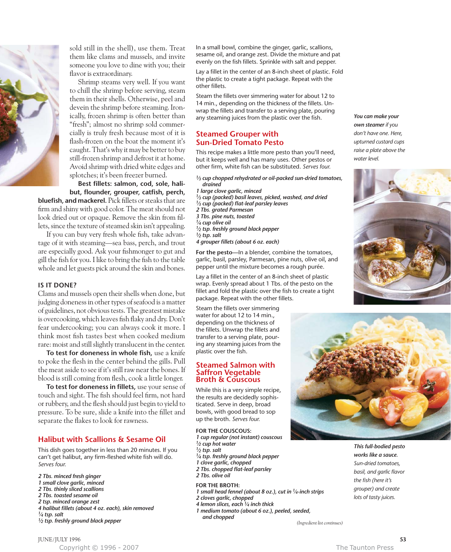

sold still in the shell), use them. Treat them like clams and mussels, and invite someone you love to dine with you; their flavor is extraordinary.

Shrimp steams very well. If you want to chill the shrimp before serving, steam them in their shells. Otherwise, peel and devein the shrimp before steaming. Ironically, frozen shrimp is often better than "fresh"; almost no shrimp sold commercially is truly fresh because most of it is flash-frozen on the boat the moment it's caught. That's why it may be better to buy still-frozen shrimp and defrost it at home. Avoid shrimp with dried white edges and splotches; it's been freezer burned.

**Best fillets: salmon, cod, sole, halibut, flounder, grouper, catfish, perch,**

**bluefish, and mackerel.** Pick fillets or steaks that are firm and shiny with good color. The meat should not look dried out or opaque. Remove the skin from fillets, since the texture of steamed skin isn't appealing.

If you can buy very fresh whole fish, take advantage of it with steaming—sea bass, perch, and trout are especially good. Ask your fishmonger to gut and gill the fish for you. I like to bring the fish to the table whole and let guests pick around the skin and bones.

#### **IS IT DONE?**

Clams and mussels open their shells when done, but judging doneness in other types of seafood is a matter of guidelines, not obvious tests. The greatest mistake is overcooking, which leaves fish flaky and dry. Don't fear undercooking; you can always cook it more. I think most fish tastes best when cooked medium rare: moist and still slightly translucent in the center.

**To test for doneness in whole fish,** use a knife to poke the flesh in the center behind the gills. Pull the meat aside to see if it's still raw near the bones. If blood is still coming from flesh, cook a little longer.

**To test for doneness in fillets,** use your sense of touch and sight. The fish should feel firm, not hard or rubbery, and the flesh should just begin to yield to pressure. To be sure, slide a knife into the fillet and separate the flakes to look for rawness.

## **Halibut with Scallions & Sesame Oil**

This dish goes together in less than 20 minutes. If you can't get halibut, any firm-fleshed white fish will do. *Serves four.*

*2 Tbs. minced fresh ginger 1 small clove garlic, minced 2 Tbs. thinly sliced scallions 2 Tbs. toasted sesame oil 2 tsp. minced orange zest 4 halibut fillets (about 4 oz. each), skin removed 1⁄4 tsp. salt 1⁄2 tsp. freshly ground black pepper*

In a small bowl, combine the ginger, garlic, scallions, sesame oil, and orange zest. Divide the mixture and pat evenly on the fish fillets. Sprinkle with salt and pepper.

Lay a fillet in the center of an 8-inch sheet of plastic. Fold the plastic to create a tight package. Repeat with the other fillets.

Steam the fillets over simmering water for about 12 to 14 min., depending on the thickness of the fillets. Unwrap the fillets and transfer to a serving plate, pouring any steaming juices from the plastic over the fish.

# **Steamed Grouper with Sun-Dried Tomato Pesto**

This recipe makes a little more pesto than you'll need, but it keeps well and has many uses. Other pestos or other firm, white fish can be substituted. *Serves four.*

- *1⁄3 cup chopped rehydrated or oil-packed sun-dried tomatoes, drained*
- *1 large clove garlic, minced 1⁄3 cup (packed) basil leaves, picked, washed, and dried 1⁄3 cup (packed) flat-leaf parsley leaves 2 Tbs. grated Parmesan 3 Tbs. pine nuts, toasted 1⁄4 cup olive oil 1⁄2 tsp. freshly ground black pepper 1⁄2 tsp. salt 4 grouper fillets (about 6 oz. each)*

**For the pesto—**In a blender, combine the tomatoes, garlic, basil, parsley, Parmesan, pine nuts, olive oil, and pepper until the mixture becomes a rough purée.

Lay a fillet in the center of an 8-inch sheet of plastic wrap. Evenly spread about 1 Tbs. of the pesto on the fillet and fold the plastic over the fish to create a tight package. Repeat with the other fillets.

Steam the fillets over simmering water for about 12 to 14 min., depending on the thickness of the fillets. Unwrap the fillets and transfer to a serving plate, pouring any steaming juices from the plastic over the fish.

#### **Steamed Salmon with Saffron Vegetable Broth & Couscous**

While this is a very simple recipe, the results are decidedly sophisticated. Serve in deep, broad bowls, with good bread to sop up the broth. *Serves four.*

#### **FOR THE COUSCOUS:**

*1 cup regular (not instant) couscous 1⁄2 cup hot water 1⁄2 tsp. salt 1⁄4 tsp. freshly ground black pepper 1 clove garlic, chopped 2 Tbs. chopped flat-leaf parsley 2 Tbs. olive oil* **FOR THE BROTH:** 

- *1 small head fennel (about 8 oz.), cut in 1⁄4-inch strips*
- *2 cloves garlic, chopped 4 lemon slices, each 1⁄4 inch thick*
- *1 medium tomato (about 6 oz.), peeled, seeded,* 
	- *and chopped*

*(Ingredient list continues)*

*You can make your own steamer if you don't have one. Here, upturned custard cups raise a plate above the water level.*





*This full-bodied pesto works like a sauce. Sun-dried tomatoes, basil, and garlic flavor the fish (here it's grouper) and create lots of tasty juices.*